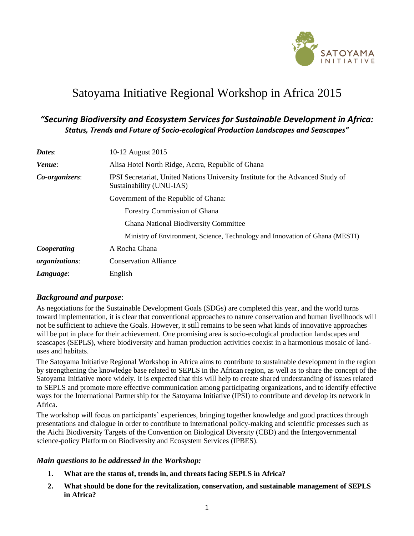

# Satoyama Initiative Regional Workshop in Africa 2015

# *"Securing Biodiversity and Ecosystem Services for Sustainable Development in Africa: Status, Trends and Future of Socio-ecological Production Landscapes and Seascapes"*

| Dates:                | 10-12 August 2015                                                                                           |  |  |
|-----------------------|-------------------------------------------------------------------------------------------------------------|--|--|
| Venue:                | Alisa Hotel North Ridge, Accra, Republic of Ghana                                                           |  |  |
| Co-organizers:        | IPSI Secretariat, United Nations University Institute for the Advanced Study of<br>Sustainability (UNU-IAS) |  |  |
|                       | Government of the Republic of Ghana:                                                                        |  |  |
|                       | <b>Forestry Commission of Ghana</b>                                                                         |  |  |
|                       | <b>Ghana National Biodiversity Committee</b>                                                                |  |  |
|                       | Ministry of Environment, Science, Technology and Innovation of Ghana (MESTI)                                |  |  |
| Cooperating           | A Rocha Ghana                                                                                               |  |  |
| <i>organizations:</i> | <b>Conservation Alliance</b>                                                                                |  |  |
| Language:             | English                                                                                                     |  |  |

## *Background and purpose*:

As negotiations for the Sustainable Development Goals (SDGs) are completed this year, and the world turns toward implementation, it is clear that conventional approaches to nature conservation and human livelihoods will not be sufficient to achieve the Goals. However, it still remains to be seen what kinds of innovative approaches will be put in place for their achievement. One promising area is socio-ecological production landscapes and seascapes (SEPLS), where biodiversity and human production activities coexist in a harmonious mosaic of landuses and habitats.

The Satoyama Initiative Regional Workshop in Africa aims to contribute to sustainable development in the region by strengthening the knowledge base related to SEPLS in the African region, as well as to share the concept of the Satoyama Initiative more widely. It is expected that this will help to create shared understanding of issues related to SEPLS and promote more effective communication among participating organizations, and to identify effective ways for the International Partnership for the Satoyama Initiative (IPSI) to contribute and develop its network in Africa.

The workshop will focus on participants' experiences, bringing together knowledge and good practices through presentations and dialogue in order to contribute to international policy-making and scientific processes such as the Aichi Biodiversity Targets of the Convention on Biological Diversity (CBD) and the Intergovernmental science-policy Platform on Biodiversity and Ecosystem Services (IPBES).

### *Main questions to be addressed in the Workshop:*

- **1. What are the status of, trends in, and threats facing SEPLS in Africa?**
- **2. What should be done for the revitalization, conservation, and sustainable management of SEPLS in Africa?**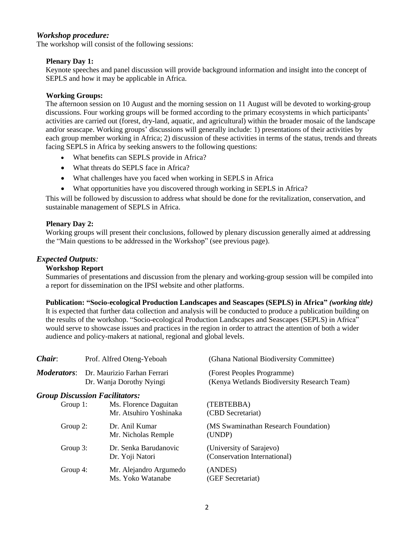### *Workshop procedure:*

The workshop will consist of the following sessions:

#### **Plenary Day 1:**

Keynote speeches and panel discussion will provide background information and insight into the concept of SEPLS and how it may be applicable in Africa.

#### **Working Groups:**

The afternoon session on 10 August and the morning session on 11 August will be devoted to working-group discussions. Four working groups will be formed according to the primary ecosystems in which participants' activities are carried out (forest, dry-land, aquatic, and agricultural) within the broader mosaic of the landscape and/or seascape. Working groups' discussions will generally include: 1) presentations of their activities by each group member working in Africa; 2) discussion of these activities in terms of the status, trends and threats facing SEPLS in Africa by seeking answers to the following questions:

- What benefits can SEPLS provide in Africa?
- What threats do SEPLS face in Africa?
- What challenges have you faced when working in SEPLS in Africa
- What opportunities have you discovered through working in SEPLS in Africa?

This will be followed by discussion to address what should be done for the revitalization, conservation, and sustainable management of SEPLS in Africa.

#### **Plenary Day 2:**

Working groups will present their conclusions, followed by plenary discussion generally aimed at addressing the "Main questions to be addressed in the Workshop" (see previous page).

#### *Expected Outputs:*

#### **Workshop Report**

Summaries of presentations and discussion from the plenary and working-group session will be compiled into a report for dissemination on the IPSI website and other platforms.

#### **Publication: "Socio-ecological Production Landscapes and Seascapes (SEPLS) in Africa"** *(working title)*

It is expected that further data collection and analysis will be conducted to produce a publication building on the results of the workshop. "Socio-ecological Production Landscapes and Seascapes (SEPLS) in Africa" would serve to showcase issues and practices in the region in order to attract the attention of both a wider audience and policy-makers at national, regional and global levels.

| Chair:             | Prof. Alfred Oteng-Yeboah                               |                                                 | (Ghana National Biodiversity Committee)                                   |  |  |
|--------------------|---------------------------------------------------------|-------------------------------------------------|---------------------------------------------------------------------------|--|--|
| <b>Moderators:</b> | Dr. Maurizio Farhan Ferrari<br>Dr. Wanja Dorothy Nyingi |                                                 | (Forest Peoples Programme)<br>(Kenya Wetlands Biodiversity Research Team) |  |  |
|                    | <b>Group Discussion Facilitators:</b>                   |                                                 |                                                                           |  |  |
| Group $1$ :        |                                                         | Ms. Florence Daguitan<br>Mr. Atsuhiro Yoshinaka | (TEBTEBBA)<br>(CBD Secretariat)                                           |  |  |
| Group 2:           |                                                         | Dr. Anil Kumar<br>Mr. Nicholas Remple           | (MS Swaminathan Research Foundation)<br>(UNDP)                            |  |  |
| Group 3:           |                                                         | Dr. Senka Barudanovic<br>Dr. Yoji Natori        | (University of Sarajevo)<br>(Conservation International)                  |  |  |
| Group 4:           |                                                         | Mr. Alejandro Argumedo<br>Ms. Yoko Watanabe     | (ANDES)<br>(GEF Secretariat)                                              |  |  |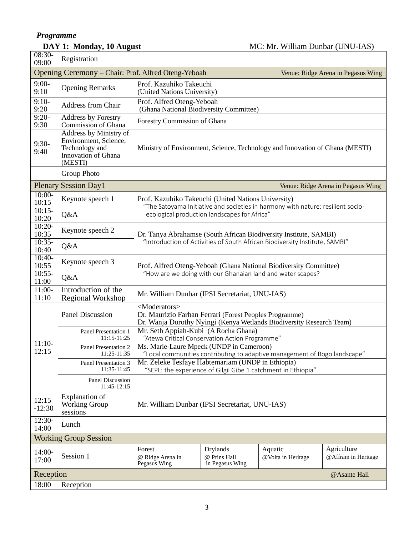## *Programme*

18:00 Reception

| <i>LIVERANDILE</i>       |              |  |  |  |
|--------------------------|--------------|--|--|--|
| DAY 1: Monday, 10 August |              |  |  |  |
| 08:30-<br>09:00          | Registration |  |  |  |

| $9:00-$<br>9:10   | <b>Opening Remarks</b>                                                                              | Prof. Kazuhiko Takeuchi<br>(United Nations University)                                                                                                        |                                                                   |                                                                                 |                                    |
|-------------------|-----------------------------------------------------------------------------------------------------|---------------------------------------------------------------------------------------------------------------------------------------------------------------|-------------------------------------------------------------------|---------------------------------------------------------------------------------|------------------------------------|
| $9:10-$<br>9:20   | Address from Chair                                                                                  | Prof. Alfred Oteng-Yeboah<br>(Ghana National Biodiversity Committee)                                                                                          |                                                                   |                                                                                 |                                    |
| $9:20-$<br>9:30   | <b>Address by Forestry</b><br>Commission of Ghana                                                   | Forestry Commission of Ghana                                                                                                                                  |                                                                   |                                                                                 |                                    |
| $9:30-$<br>9:40   | Address by Ministry of<br>Environment, Science,<br>Technology and<br>Innovation of Ghana<br>(MESTI) | Ministry of Environment, Science, Technology and Innovation of Ghana (MESTI)                                                                                  |                                                                   |                                                                                 |                                    |
|                   | Group Photo                                                                                         |                                                                                                                                                               |                                                                   |                                                                                 |                                    |
|                   | <b>Plenary Session Day1</b>                                                                         |                                                                                                                                                               |                                                                   |                                                                                 | Venue: Ridge Arena in Pegasus Wing |
| $10:00-$<br>10:15 | Keynote speech 1                                                                                    | Prof. Kazuhiko Takeuchi (United Nations University)                                                                                                           |                                                                   | "The Satoyama Initiative and societies in harmony with nature: resilient socio- |                                    |
| $10:15-$<br>10:20 | Q&A                                                                                                 |                                                                                                                                                               | ecological production landscapes for Africa"                      |                                                                                 |                                    |
| $10:20-$<br>10:35 | Keynote speech 2                                                                                    |                                                                                                                                                               |                                                                   | Dr. Tanya Abrahamse (South African Biodiversity Institute, SAMBI)               |                                    |
| $10:35-$<br>10:40 | Q&A                                                                                                 | "Introduction of Activities of South African Biodiversity Institute, SAMBI"                                                                                   |                                                                   |                                                                                 |                                    |
| $10:40-$<br>10:55 | Keynote speech 3                                                                                    |                                                                                                                                                               | Prof. Alfred Oteng-Yeboah (Ghana National Biodiversity Committee) |                                                                                 |                                    |
| $10:55-$<br>11:00 | Q&A                                                                                                 | "How are we doing with our Ghanaian land and water scapes?                                                                                                    |                                                                   |                                                                                 |                                    |
| $11:00-$<br>11:10 | Introduction of the<br><b>Regional Workshop</b>                                                     | Mr. William Dunbar (IPSI Secretariat, UNU-IAS)                                                                                                                |                                                                   |                                                                                 |                                    |
|                   | <b>Panel Discussion</b>                                                                             | <moderators><br/>Dr. Maurizio Farhan Ferrari (Forest Peoples Programme)<br/>Dr. Wanja Dorothy Nyingi (Kenya Wetlands Biodiversity Research Team)</moderators> |                                                                   |                                                                                 |                                    |
|                   | Panel Presentation 1<br>$11:15-11:25$                                                               | Mr. Seth Appiah-Kubi (A Rocha Ghana)<br>"Atewa Critical Conservation Action Programme"                                                                        |                                                                   |                                                                                 |                                    |
| $11:10-$<br>12:15 | Panel Presentation 2<br>11:25-11:35                                                                 | Ms. Marie-Laure Mpeck (UNDP in Cameroon)<br>"Local communities contributing to adaptive management of Bogo landscape"                                         |                                                                   |                                                                                 |                                    |
|                   | Panel Presentation 3<br>11:35-11:45                                                                 | Mr. Zeleke Tesfaye Habtemariam (UNDP in Ethiopia)<br>"SEPL: the experience of Gilgil Gibe 1 catchment in Ethiopia"                                            |                                                                   |                                                                                 |                                    |
|                   | Panel Discussion<br>11:45-12:15                                                                     |                                                                                                                                                               |                                                                   |                                                                                 |                                    |
| 12:15<br>$-12:30$ | <b>Explanation</b> of<br><b>Working Group</b><br>sessions                                           | Mr. William Dunbar (IPSI Secretariat, UNU-IAS)                                                                                                                |                                                                   |                                                                                 |                                    |
| $12:30-$<br>14:00 | Lunch                                                                                               |                                                                                                                                                               |                                                                   |                                                                                 |                                    |
|                   | <b>Working Group Session</b>                                                                        |                                                                                                                                                               |                                                                   |                                                                                 |                                    |
| $14:00-$<br>17:00 | Session 1                                                                                           | Forest<br>@ Ridge Arena in<br>Pegasus Wing                                                                                                                    | <b>Drylands</b><br>@ Prins Hall<br>in Pegasus Wing                | Aquatic<br>@Volta in Heritage                                                   | Agriculture<br>@Affram in Heritage |
| Reception         |                                                                                                     |                                                                                                                                                               |                                                                   |                                                                                 | @Asante Hall                       |

Opening Ceremony – Chair: Prof. Alfred Oteng-Yeboah Venue: Ridge Arena in Pegasus Wing

**MC: Mr. William Dunbar (UNU-IAS)**